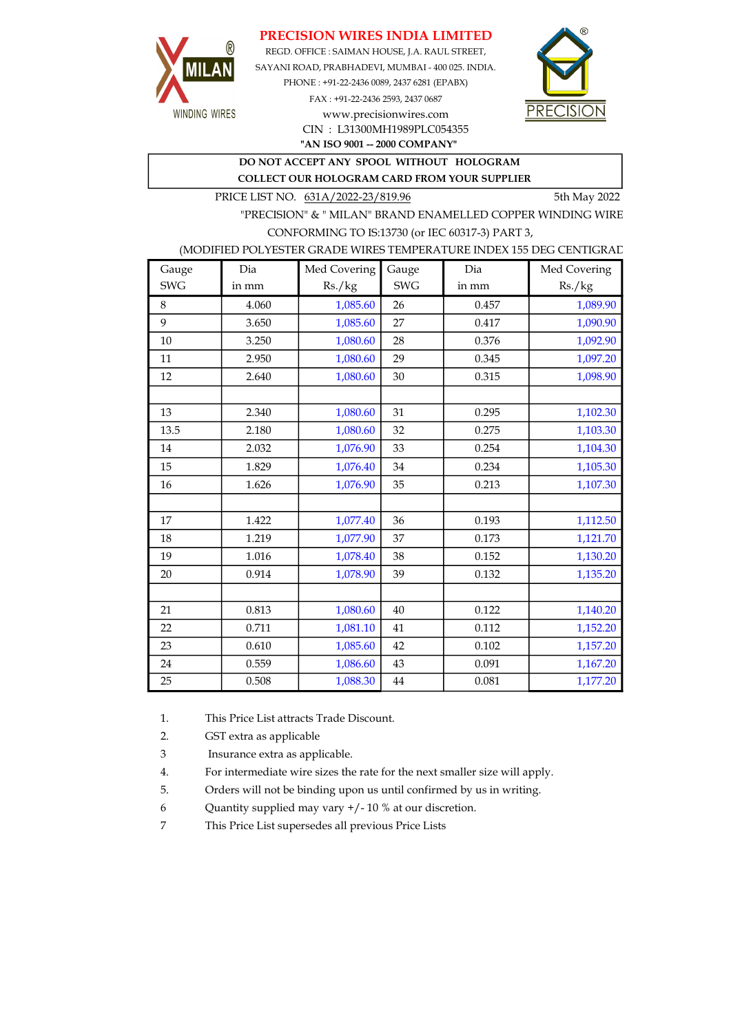### PRECISION WIRES INDIA LIMITED



REGD. OFFICE : SAIMAN HOUSE, J.A. RAUL STREET, SAYANI ROAD, PRABHADEVI, MUMBAI - 400 025. INDIA. PHONE : +91-22-2436 0089, 2437 6281 (EPABX) FAX : +91-22-2436 2593, 2437 0687 www.precisionwires.com



"AN ISO 9001 -- 2000 COMPANY" CIN : L31300MH1989PLC054355

# DO NOT ACCEPT ANY SPOOL WITHOUT HOLOGRAM

COLLECT OUR HOLOGRAM CARD FROM YOUR SUPPLIER

PRICE LIST NO. 631A/2022-23/819.96 5th May 2022

"PRECISION" & " MILAN" BRAND ENAMELLED COPPER WINDING WIRE CONFORMING TO IS:13730 (or IEC 60317-3) PART 3,

#### (MODIFIED POLYESTER GRADE WIRES TEMPERATURE INDEX 155 DEG CENTIGRAD

| Gauge      | Dia   | Med Covering | Gauge      | Dia   | Med Covering |
|------------|-------|--------------|------------|-------|--------------|
| <b>SWG</b> | in mm | Rs./kg       | <b>SWG</b> | in mm | Rs./kg       |
| 8          | 4.060 | 1,085.60     | 26         | 0.457 | 1,089.90     |
| 9          | 3.650 | 1,085.60     | 27         | 0.417 | 1,090.90     |
| 10         | 3.250 | 1,080.60     | 28         | 0.376 | 1,092.90     |
| 11         | 2.950 | 1,080.60     | 29         | 0.345 | 1,097.20     |
| 12         | 2.640 | 1,080.60     | 30         | 0.315 | 1,098.90     |
|            |       |              |            |       |              |
| 13         | 2.340 | 1,080.60     | 31         | 0.295 | 1,102.30     |
| 13.5       | 2.180 | 1,080.60     | 32         | 0.275 | 1,103.30     |
| 14         | 2.032 | 1,076.90     | 33         | 0.254 | 1,104.30     |
| 15         | 1.829 | 1,076.40     | 34         | 0.234 | 1,105.30     |
| 16         | 1.626 | 1,076.90     | 35         | 0.213 | 1,107.30     |
|            |       |              |            |       |              |
| 17         | 1.422 | 1,077.40     | 36         | 0.193 | 1,112.50     |
| 18         | 1.219 | 1,077.90     | 37         | 0.173 | 1,121.70     |
| 19         | 1.016 | 1,078.40     | 38         | 0.152 | 1,130.20     |
| 20         | 0.914 | 1,078.90     | 39         | 0.132 | 1,135.20     |
|            |       |              |            |       |              |
| 21         | 0.813 | 1,080.60     | 40         | 0.122 | 1,140.20     |
| 22         | 0.711 | 1,081.10     | 41         | 0.112 | 1,152.20     |
| 23         | 0.610 | 1,085.60     | 42         | 0.102 | 1,157.20     |
| 24         | 0.559 | 1,086.60     | 43         | 0.091 | 1,167.20     |
| 25         | 0.508 | 1,088.30     | 44         | 0.081 | 1,177.20     |

1. This Price List attracts Trade Discount.

2. GST extra as applicable

3 Insurance extra as applicable.

4. For intermediate wire sizes the rate for the next smaller size will apply.

5. Orders will not be binding upon us until confirmed by us in writing.

6 Quantity supplied may vary +/- 10 % at our discretion.

7 This Price List supersedes all previous Price Lists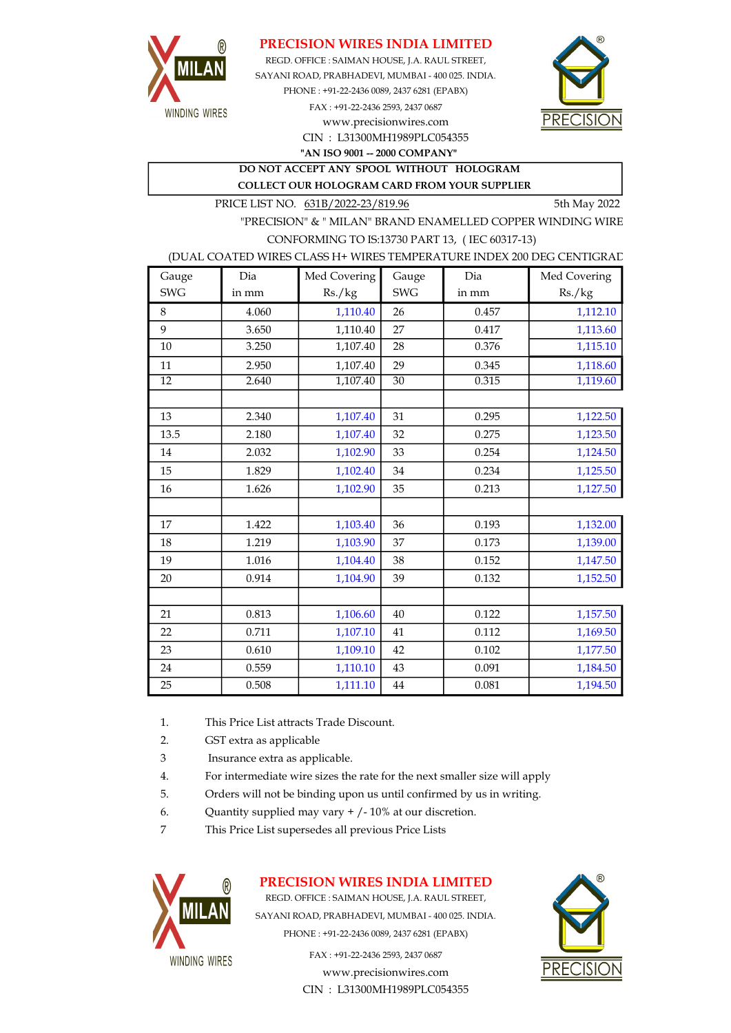

PRECISION WIRES INDIA LIMITED

REGD. OFFICE : SAIMAN HOUSE, J.A. RAUL STREET, SAYANI ROAD, PRABHADEVI, MUMBAI - 400 025. INDIA. PHONE : +91-22-2436 0089, 2437 6281 (EPABX) FAX : +91-22-2436 2593, 2437 0687 www.precisionwires.com



CIN : L31300MH1989PLC054355 "AN ISO 9001 -- 2000 COMPANY"

DO NOT ACCEPT ANY SPOOL WITHOUT HOLOGRAM COLLECT OUR HOLOGRAM CARD FROM YOUR SUPPLIER

PRICE LIST NO.  $631B/2022-23/819.96$  5th May 2022

"PRECISION" & " MILAN" BRAND ENAMELLED COPPER WINDING WIRE CONFORMING TO IS:13730 PART 13, ( IEC 60317-13)

#### (DUAL COATED WIRES CLASS H+ WIRES TEMPERATURE INDEX 200 DEG CENTIGRAD

| Gauge           | Dia   | Med Covering | Gauge           | Dia   | Med Covering |
|-----------------|-------|--------------|-----------------|-------|--------------|
| <b>SWG</b>      | in mm | Rs./kg       | <b>SWG</b>      | in mm | Rs./kg       |
| 8               | 4.060 | 1,110.40     | 26              | 0.457 | 1,112.10     |
| 9               | 3.650 | 1,110.40     | 27              | 0.417 | 1,113.60     |
| 10              | 3.250 | 1,107.40     | 28              | 0.376 | 1,115.10     |
| 11              | 2.950 | 1,107.40     | 29              | 0.345 | 1,118.60     |
| $\overline{12}$ | 2.640 | 1,107.40     | $\overline{30}$ | 0.315 | 1,119.60     |
|                 |       |              |                 |       |              |
| 13              | 2.340 | 1,107.40     | 31              | 0.295 | 1,122.50     |
| 13.5            | 2.180 | 1,107.40     | 32              | 0.275 | 1,123.50     |
| 14              | 2.032 | 1,102.90     | 33              | 0.254 | 1,124.50     |
| 15              | 1.829 | 1,102.40     | 34              | 0.234 | 1,125.50     |
| 16              | 1.626 | 1,102.90     | 35              | 0.213 | 1,127.50     |
|                 |       |              |                 |       |              |
| 17              | 1.422 | 1,103.40     | 36              | 0.193 | 1,132.00     |
| 18              | 1.219 | 1,103.90     | 37              | 0.173 | 1,139.00     |
| 19              | 1.016 | 1,104.40     | 38              | 0.152 | 1,147.50     |
| 20              | 0.914 | 1,104.90     | 39              | 0.132 | 1,152.50     |
|                 |       |              |                 |       |              |
| 21              | 0.813 | 1,106.60     | 40              | 0.122 | 1,157.50     |
| 22              | 0.711 | 1,107.10     | 41              | 0.112 | 1,169.50     |
| 23              | 0.610 | 1,109.10     | 42              | 0.102 | 1,177.50     |
| 24              | 0.559 | 1,110.10     | 43              | 0.091 | 1,184.50     |
| 25              | 0.508 | 1,111.10     | 44              | 0.081 | 1,194.50     |

- 1. This Price List attracts Trade Discount.
- 2. GST extra as applicable
- 3 Insurance extra as applicable.
- 4. For intermediate wire sizes the rate for the next smaller size will apply
- 5. Orders will not be binding upon us until confirmed by us in writing.
- 6. Quantity supplied may vary  $+/-10\%$  at our discretion.
- 7 This Price List supersedes all previous Price Lists



## PRECISION WIRES INDIA LIMITED

REGD. OFFICE : SAIMAN HOUSE, J.A. RAUL STREET, SAYANI ROAD, PRABHADEVI, MUMBAI - 400 025. INDIA. PHONE : +91-22-2436 0089, 2437 6281 (EPABX)

> www.precisionwires.com CIN : L31300MH1989PLC054355 FAX : +91-22-2436 2593, 2437 0687